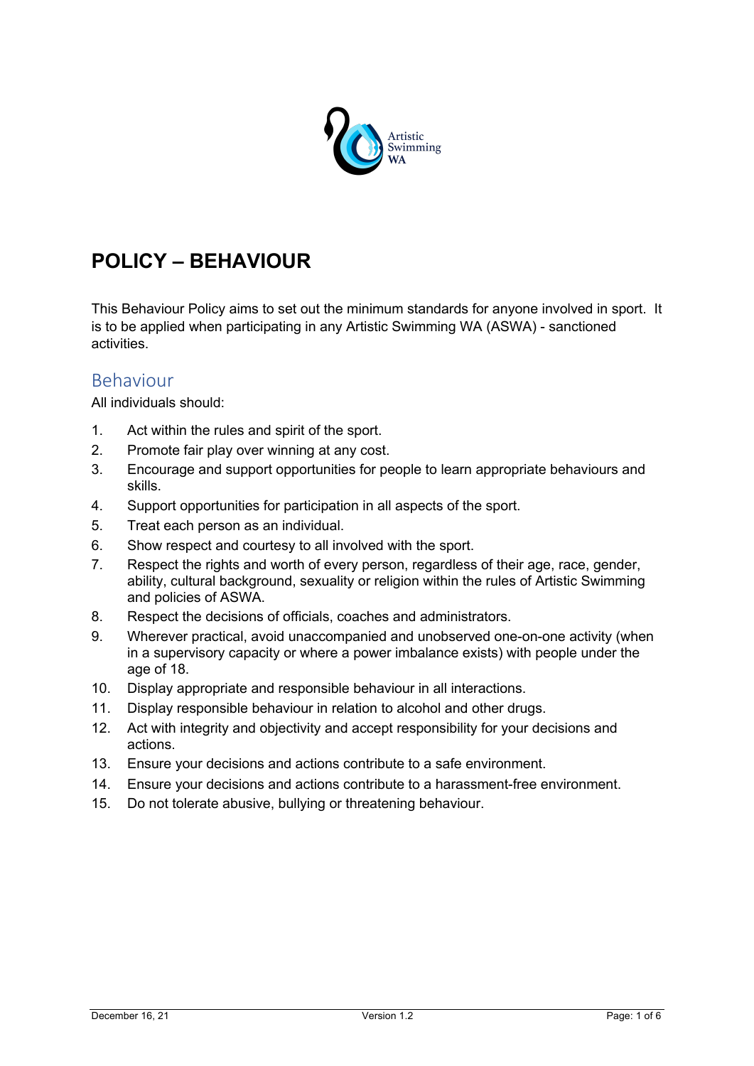

# **POLICY – BEHAVIOUR**

This Behaviour Policy aims to set out the minimum standards for anyone involved in sport. It is to be applied when participating in any Artistic Swimming WA (ASWA) - sanctioned activities.

## Behaviour

All individuals should:

- 1. Act within the rules and spirit of the sport.
- 2. Promote fair play over winning at any cost.
- 3. Encourage and support opportunities for people to learn appropriate behaviours and skills.
- 4. Support opportunities for participation in all aspects of the sport.
- 5. Treat each person as an individual.
- 6. Show respect and courtesy to all involved with the sport.
- 7. Respect the rights and worth of every person, regardless of their age, race, gender, ability, cultural background, sexuality or religion within the rules of Artistic Swimming and policies of ASWA.
- 8. Respect the decisions of officials, coaches and administrators.
- 9. Wherever practical, avoid unaccompanied and unobserved one-on-one activity (when in a supervisory capacity or where a power imbalance exists) with people under the age of 18.
- 10. Display appropriate and responsible behaviour in all interactions.
- 11. Display responsible behaviour in relation to alcohol and other drugs.
- 12. Act with integrity and objectivity and accept responsibility for your decisions and actions.
- 13. Ensure your decisions and actions contribute to a safe environment.
- 14. Ensure your decisions and actions contribute to a harassment-free environment.
- 15. Do not tolerate abusive, bullying or threatening behaviour.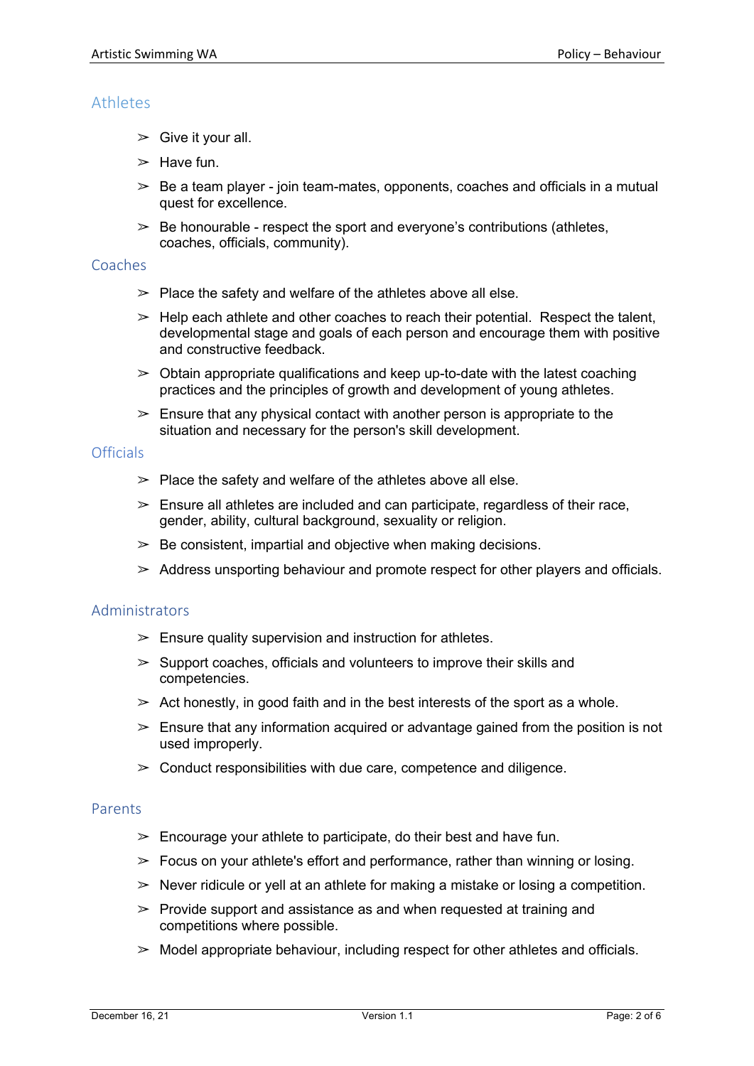## **Athletes**

- $\geq$  Give it your all.
- $\geq$  Have fun.
- $\geq$  Be a team player join team-mates, opponents, coaches and officials in a mutual quest for excellence.
- $\geq$  Be honourable respect the sport and everyone's contributions (athletes, coaches, officials, community).

#### **Coaches**

- $\ge$  Place the safety and welfare of the athletes above all else.
- $\geq$  Help each athlete and other coaches to reach their potential. Respect the talent, developmental stage and goals of each person and encourage them with positive and constructive feedback.
- $\geq$  Obtain appropriate qualifications and keep up-to-date with the latest coaching practices and the principles of growth and development of young athletes.
- $\geq$  Ensure that any physical contact with another person is appropriate to the situation and necessary for the person's skill development.

#### **Officials**

- $\ge$  Place the safety and welfare of the athletes above all else.
- $\geq$  Ensure all athletes are included and can participate, regardless of their race, gender, ability, cultural background, sexuality or religion.
- $\geq$  Be consistent, impartial and objective when making decisions.
- $\geq$  Address unsporting behaviour and promote respect for other players and officials.

#### Administrators

- $\geq$  Ensure quality supervision and instruction for athletes.
- $\geq$  Support coaches, officials and volunteers to improve their skills and competencies.
- $\geq$  Act honestly, in good faith and in the best interests of the sport as a whole.
- $\geq$  Ensure that any information acquired or advantage gained from the position is not used improperly.
- $\geq$  Conduct responsibilities with due care, competence and diligence.

#### Parents

- $\geq$  Encourage your athlete to participate, do their best and have fun.
- $\geq$  Focus on your athlete's effort and performance, rather than winning or losing.
- $\geq$  Never ridicule or yell at an athlete for making a mistake or losing a competition.
- $\geq$  Provide support and assistance as and when requested at training and competitions where possible.
- $\geq$  Model appropriate behaviour, including respect for other athletes and officials.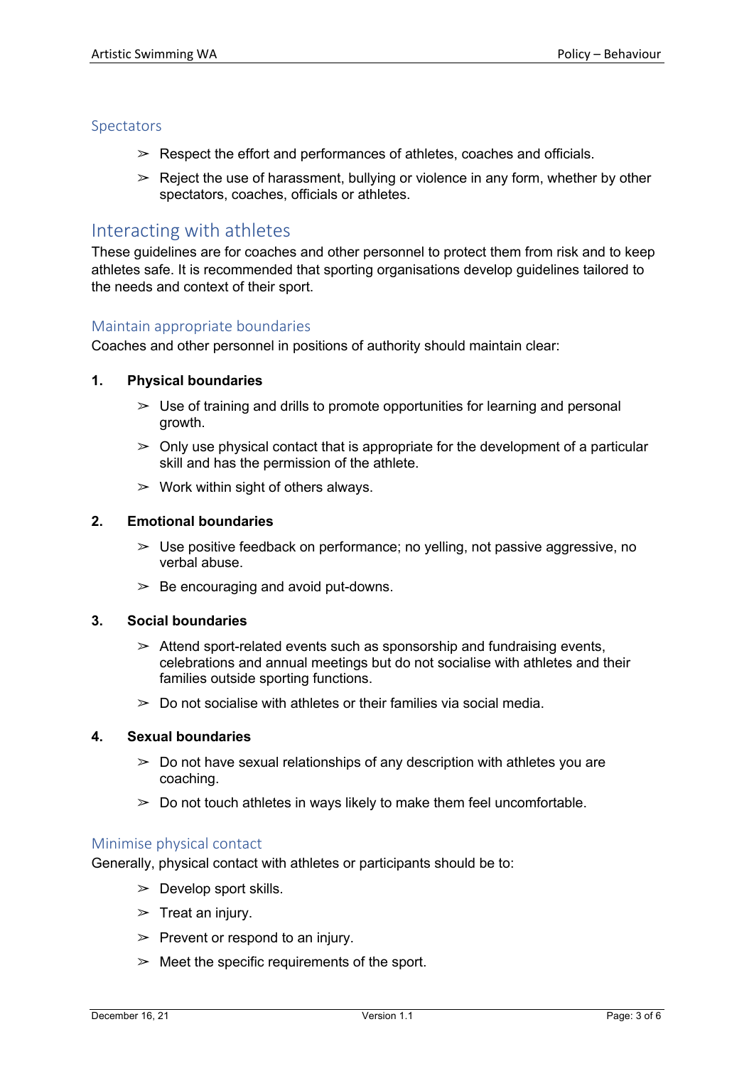#### Spectators

- $\geq$  Respect the effort and performances of athletes, coaches and officials.
- $\geq$  Reject the use of harassment, bullying or violence in any form, whether by other spectators, coaches, officials or athletes.

## Interacting with athletes

These guidelines are for coaches and other personnel to protect them from risk and to keep athletes safe. It is recommended that sporting organisations develop guidelines tailored to the needs and context of their sport.

## Maintain appropriate boundaries

Coaches and other personnel in positions of authority should maintain clear:

## **1. Physical boundaries**

- $\geq$  Use of training and drills to promote opportunities for learning and personal growth.
- $\geq$  Only use physical contact that is appropriate for the development of a particular skill and has the permission of the athlete.
- $\geq$  Work within sight of others always.

#### **2. Emotional boundaries**

- $\geq$  Use positive feedback on performance; no yelling, not passive aggressive, no verbal abuse.
- $\geq$  Be encouraging and avoid put-downs.

#### **3. Social boundaries**

- $\geq$  Attend sport-related events such as sponsorship and fundraising events, celebrations and annual meetings but do not socialise with athletes and their families outside sporting functions.
- $\geq$  Do not socialise with athletes or their families via social media.

#### **4. Sexual boundaries**

- $\geq$  Do not have sexual relationships of any description with athletes you are coaching.
- $\geq$  Do not touch athletes in ways likely to make them feel uncomfortable.

#### Minimise physical contact

Generally, physical contact with athletes or participants should be to:

- $\geq$  Develop sport skills.
- $\triangleright$  Treat an injury.
- $\triangleright$  Prevent or respond to an injury.
- $\geq$  Meet the specific requirements of the sport.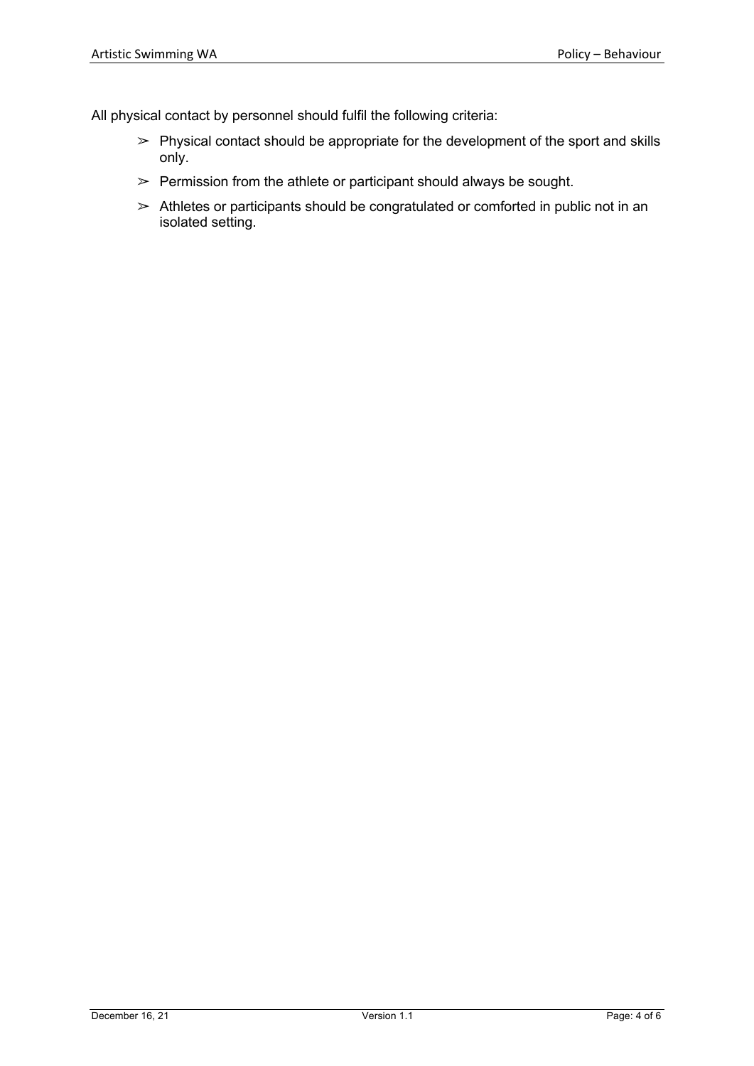All physical contact by personnel should fulfil the following criteria:

- $\ge$  Physical contact should be appropriate for the development of the sport and skills only.
- $\geq$  Permission from the athlete or participant should always be sought.
- $\geq$  Athletes or participants should be congratulated or comforted in public not in an isolated setting.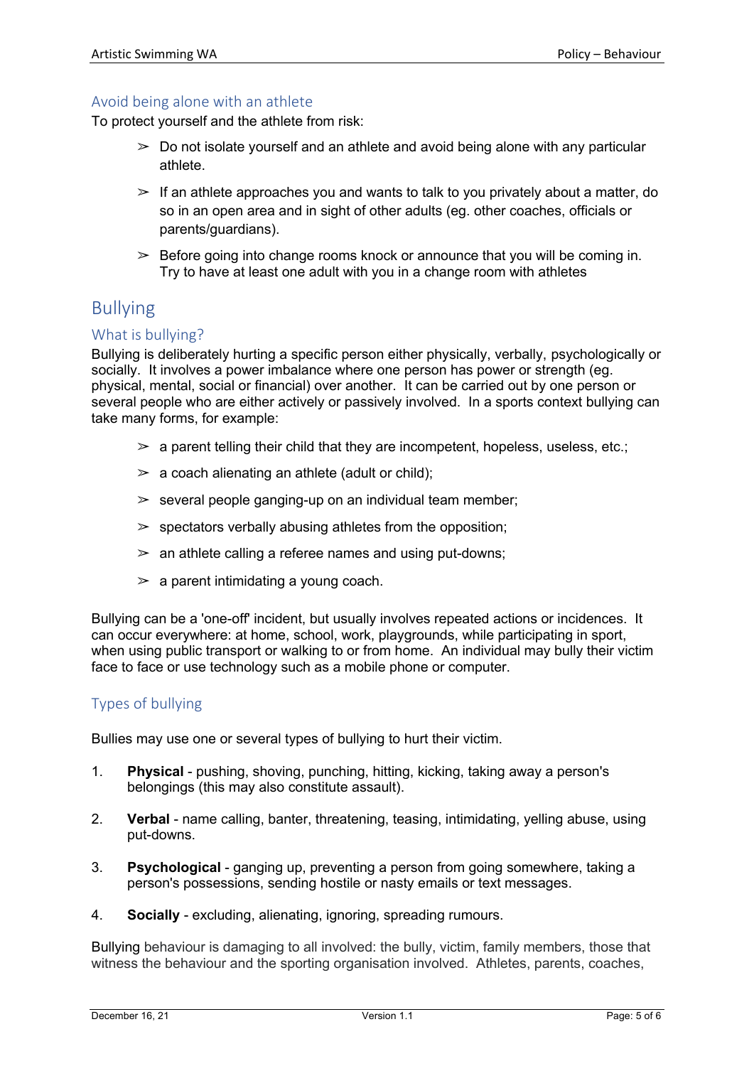#### Avoid being alone with an athlete

To protect yourself and the athlete from risk:

- $\geq$  Do not isolate yourself and an athlete and avoid being alone with any particular athlete.
- $\geq$  If an athlete approaches you and wants to talk to you privately about a matter, do so in an open area and in sight of other adults (eg. other coaches, officials or parents/guardians).
- $\geq$  Before going into change rooms knock or announce that you will be coming in. Try to have at least one adult with you in a change room with athletes

## Bullying

#### What is bullying?

Bullying is deliberately hurting a specific person either physically, verbally, psychologically or socially. It involves a power imbalance where one person has power or strength (eg. physical, mental, social or financial) over another. It can be carried out by one person or several people who are either actively or passively involved. In a sports context bullying can take many forms, for example:

- $\geq$  a parent telling their child that they are incompetent, hopeless, useless, etc.;
- $\geq$  a coach alienating an athlete (adult or child);
- $\ge$  several people ganging-up on an individual team member;
- $\triangleright$  spectators verbally abusing athletes from the opposition;
- $\ge$  an athlete calling a referee names and using put-downs;
- $\geq$  a parent intimidating a young coach.

Bullying can be a 'one-off' incident, but usually involves repeated actions or incidences. It can occur everywhere: at home, school, work, playgrounds, while participating in sport, when using public transport or walking to or from home. An individual may bully their victim face to face or use technology such as a mobile phone or computer.

## Types of bullying

Bullies may use one or several types of bullying to hurt their victim.

- 1. **Physical** pushing, shoving, punching, hitting, kicking, taking away a person's belongings (this may also constitute assault).
- 2. **Verbal** name calling, banter, threatening, teasing, intimidating, yelling abuse, using put-downs.
- 3. **Psychological** ganging up, preventing a person from going somewhere, taking a person's possessions, sending hostile or nasty emails or text messages.
- 4. **Socially** excluding, alienating, ignoring, spreading rumours.

Bullying behaviour is damaging to all involved: the bully, victim, family members, those that witness the behaviour and the sporting organisation involved. Athletes, parents, coaches,